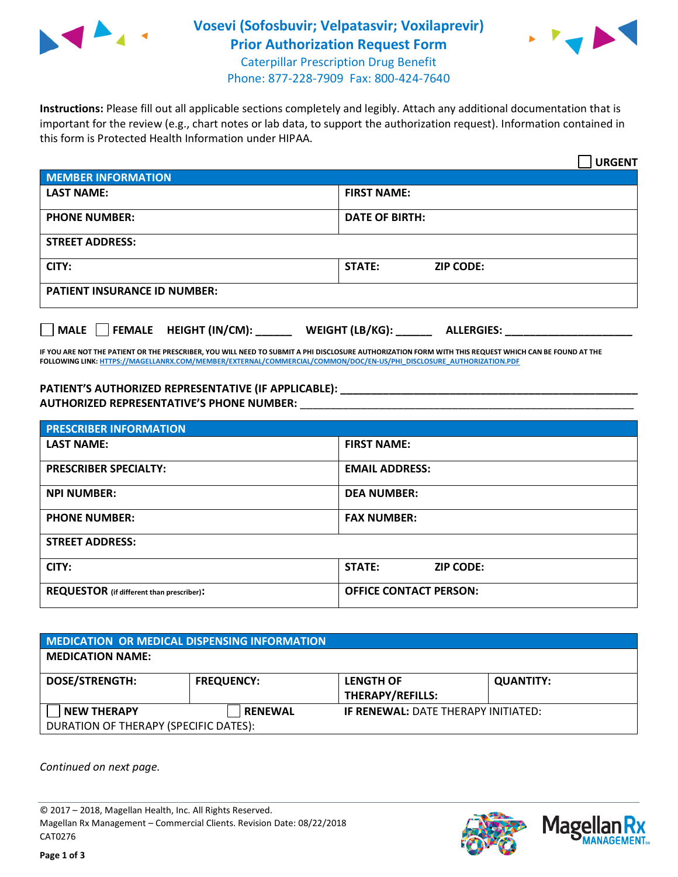

## **Vosevi (Sofosbuvir; Velpatasvir; Voxilaprevir) Prior Authorization Request Form** Caterpillar Prescription Drug Benefit



Phone: 877-228-7909 Fax: 800-424-7640

**Instructions:** Please fill out all applicable sections completely and legibly. Attach any additional documentation that is important for the review (e.g., chart notes or lab data, to support the authorization request). Information contained in this form is Protected Health Information under HIPAA.

|                                       | <b>URGENT</b>                        |  |
|---------------------------------------|--------------------------------------|--|
| <b>MEMBER INFORMATION</b>             |                                      |  |
| <b>LAST NAME:</b>                     | <b>FIRST NAME:</b>                   |  |
| <b>PHONE NUMBER:</b>                  | <b>DATE OF BIRTH:</b>                |  |
| <b>STREET ADDRESS:</b>                |                                      |  |
| CITY:                                 | <b>STATE:</b><br><b>ZIP CODE:</b>    |  |
| <b>PATIENT INSURANCE ID NUMBER:</b>   |                                      |  |
| FEMALE HEIGHT (IN/CM):<br><b>MALE</b> | WEIGHT (LB/KG):<br><b>ALLERGIES:</b> |  |

**IF YOU ARE NOT THE PATIENT OR THE PRESCRIBER, YOU WILL NEED TO SUBMIT A PHI DISCLOSURE AUTHORIZATION FORM WITH THIS REQUEST WHICH CAN BE FOUND AT THE FOLLOWING LINK[: HTTPS://MAGELLANRX.COM/MEMBER/EXTERNAL/COMMERCIAL/COMMON/DOC/EN-US/PHI\\_DISCLOSURE\\_AUTHORIZATION.PDF](https://magellanrx.com/member/external/commercial/common/doc/en-us/PHI_Disclosure_Authorization.pdf)**

**PATIENT'S AUTHORIZED REPRESENTATIVE (IF APPLICABLE): \_\_\_\_\_\_\_\_\_\_\_\_\_\_\_\_\_\_\_\_\_\_\_\_\_\_\_\_\_\_\_\_\_\_\_\_\_\_\_\_\_\_\_\_\_\_\_\_\_ AUTHORIZED REPRESENTATIVE'S PHONE NUMBER:** \_\_\_\_\_\_\_\_\_\_\_\_\_\_\_\_\_\_\_\_\_\_\_\_\_\_\_\_\_\_\_\_\_\_\_\_\_\_\_\_\_\_\_\_\_\_\_\_\_\_\_\_\_\_\_

| <b>PRESCRIBER INFORMATION</b>             |                               |  |  |  |
|-------------------------------------------|-------------------------------|--|--|--|
| <b>LAST NAME:</b>                         | <b>FIRST NAME:</b>            |  |  |  |
| <b>PRESCRIBER SPECIALTY:</b>              | <b>EMAIL ADDRESS:</b>         |  |  |  |
| <b>NPI NUMBER:</b>                        | <b>DEA NUMBER:</b>            |  |  |  |
| <b>PHONE NUMBER:</b>                      | <b>FAX NUMBER:</b>            |  |  |  |
| <b>STREET ADDRESS:</b>                    |                               |  |  |  |
| CITY:                                     | STATE:<br><b>ZIP CODE:</b>    |  |  |  |
| REQUESTOR (if different than prescriber): | <b>OFFICE CONTACT PERSON:</b> |  |  |  |

| MEDICATION OR MEDICAL DISPENSING INFORMATION |                   |                                            |                  |  |  |
|----------------------------------------------|-------------------|--------------------------------------------|------------------|--|--|
| <b>MEDICATION NAME:</b>                      |                   |                                            |                  |  |  |
| <b>DOSE/STRENGTH:</b>                        | <b>FREQUENCY:</b> | <b>LENGTH OF</b>                           | <b>QUANTITY:</b> |  |  |
|                                              |                   | <b>THERAPY/REFILLS:</b>                    |                  |  |  |
| <b>NEW THERAPY</b>                           | <b>RENEWAL</b>    | <b>IF RENEWAL: DATE THERAPY INITIATED:</b> |                  |  |  |
| DURATION OF THERAPY (SPECIFIC DATES):        |                   |                                            |                  |  |  |

*Continued on next page.*

© 2017 – 2018, Magellan Health, Inc. All Rights Reserved. Magellan Rx Management – Commercial Clients. Revision Date: 08/22/2018 CAT0276



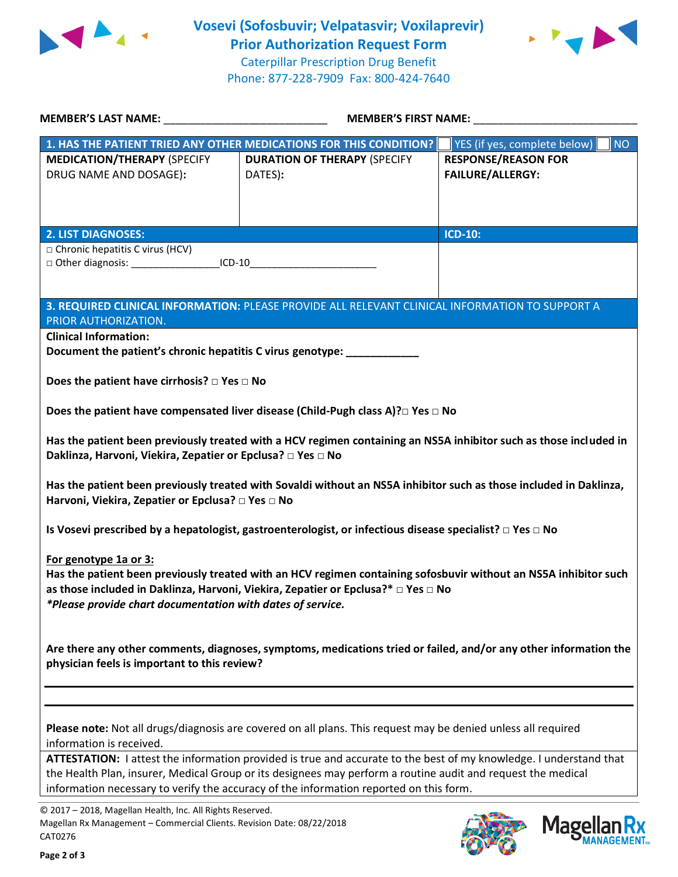



| MEMBER'S LAST NAME: NAME: NAME AND A SERIES AND A SERIES OF STREET AND A SERIES OF STREET AND A SERIES OF STRE                                                                                                                                                                                                               | <b>MEMBER'S FIRST NAME:</b>                                                                                        |                                                       |  |  |
|------------------------------------------------------------------------------------------------------------------------------------------------------------------------------------------------------------------------------------------------------------------------------------------------------------------------------|--------------------------------------------------------------------------------------------------------------------|-------------------------------------------------------|--|--|
|                                                                                                                                                                                                                                                                                                                              | 1. HAS THE PATIENT TRIED ANY OTHER MEDICATIONS FOR THIS CONDITION?                                                 | YES (if yes, complete below)  <br><b>NO</b>           |  |  |
| <b>MEDICATION/THERAPY (SPECIFY</b><br>DRUG NAME AND DOSAGE):                                                                                                                                                                                                                                                                 | <b>DURATION OF THERAPY (SPECIFY</b><br>DATES):                                                                     | <b>RESPONSE/REASON FOR</b><br><b>FAILURE/ALLERGY:</b> |  |  |
| <b>2. LIST DIAGNOSES:</b>                                                                                                                                                                                                                                                                                                    |                                                                                                                    | <b>ICD-10:</b>                                        |  |  |
| $\Box$ Chronic hepatitis C virus (HCV)<br>□ Other diagnosis: _____________________ICD-10_________________________________                                                                                                                                                                                                    |                                                                                                                    |                                                       |  |  |
| PRIOR AUTHORIZATION.                                                                                                                                                                                                                                                                                                         | 3. REQUIRED CLINICAL INFORMATION: PLEASE PROVIDE ALL RELEVANT CLINICAL INFORMATION TO SUPPORT A                    |                                                       |  |  |
| <b>Clinical Information:</b><br>Document the patient's chronic hepatitis C virus genotype: ___________                                                                                                                                                                                                                       |                                                                                                                    |                                                       |  |  |
| Does the patient have cirrhosis? $\square$ Yes $\square$ No                                                                                                                                                                                                                                                                  |                                                                                                                    |                                                       |  |  |
|                                                                                                                                                                                                                                                                                                                              | Does the patient have compensated liver disease (Child-Pugh class A)? DYes DNo                                     |                                                       |  |  |
| Has the patient been previously treated with a HCV regimen containing an NS5A inhibitor such as those included in<br>Daklinza, Harvoni, Viekira, Zepatier or Epclusa? □ Yes □ No                                                                                                                                             |                                                                                                                    |                                                       |  |  |
| Has the patient been previously treated with Sovaldi without an NS5A inhibitor such as those included in Daklinza,<br>Harvoni, Viekira, Zepatier or Epclusa? □ Yes □ No                                                                                                                                                      |                                                                                                                    |                                                       |  |  |
|                                                                                                                                                                                                                                                                                                                              | Is Vosevi prescribed by a hepatologist, gastroenterologist, or infectious disease specialist? $\Box$ Yes $\Box$ No |                                                       |  |  |
| For genotype 1a or 3:<br>Has the patient been previously treated with an HCV regimen containing sofosbuvir without an NS5A inhibitor such<br>as those included in Daklinza, Harvoni, Viekira, Zepatier or Epclusa?* □ Yes □ No<br>*Please provide chart documentation with dates of service.                                 |                                                                                                                    |                                                       |  |  |
| Are there any other comments, diagnoses, symptoms, medications tried or failed, and/or any other information the<br>physician feels is important to this review?                                                                                                                                                             |                                                                                                                    |                                                       |  |  |
|                                                                                                                                                                                                                                                                                                                              |                                                                                                                    |                                                       |  |  |
| Please note: Not all drugs/diagnosis are covered on all plans. This request may be denied unless all required<br>information is received.                                                                                                                                                                                    |                                                                                                                    |                                                       |  |  |
| ATTESTATION: I attest the information provided is true and accurate to the best of my knowledge. I understand that<br>the Health Plan, insurer, Medical Group or its designees may perform a routine audit and request the medical<br>information necessary to verify the accuracy of the information reported on this form. |                                                                                                                    |                                                       |  |  |

© 2017 – 2018, Magellan Health, Inc. All Rights Reserved. Magellan Rx Management – Commercial Clients. Revision Date: 08/22/2018 CAT0276